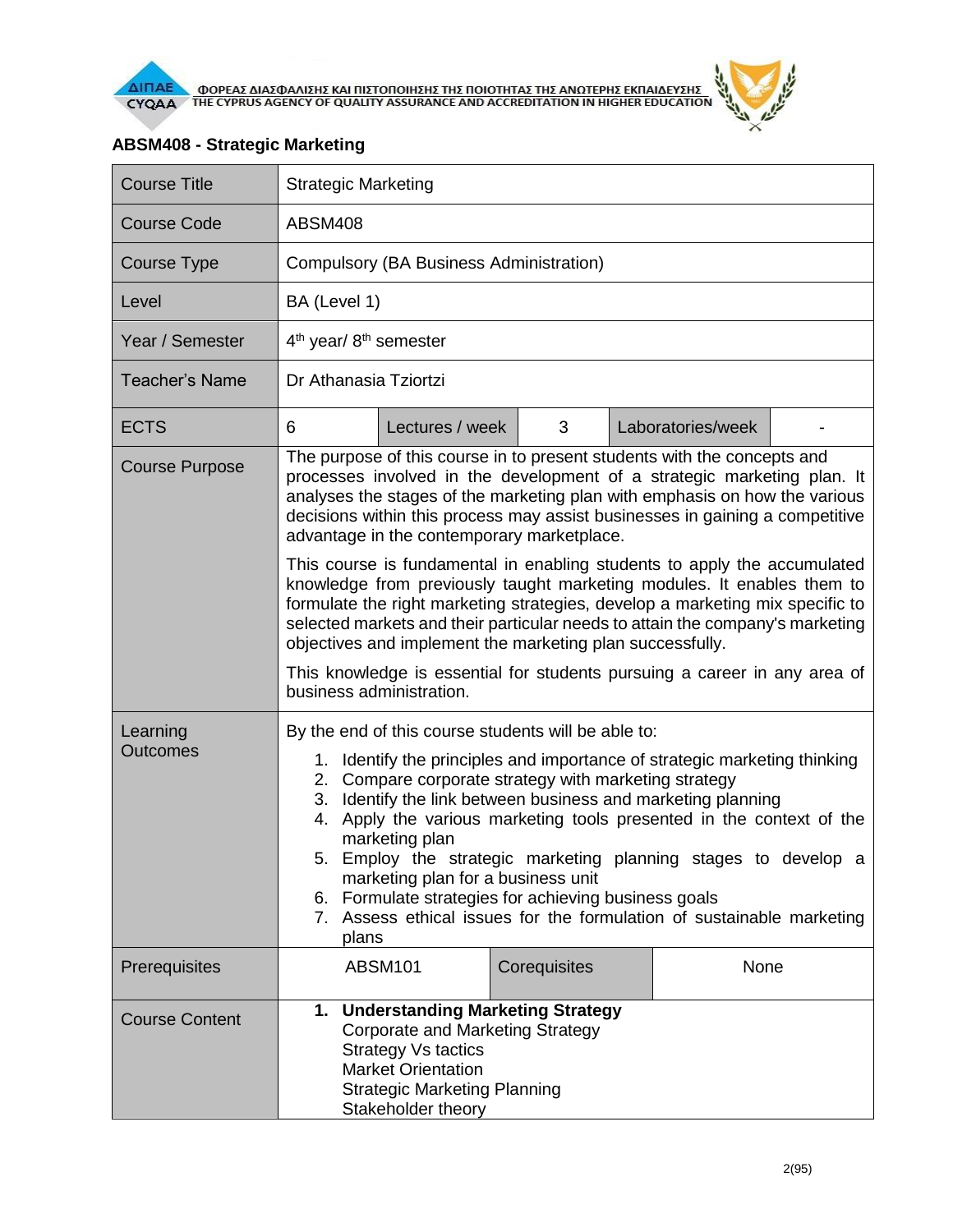



| <b>Course Title</b>         | <b>Strategic Marketing</b>                                                                                                                                                                                                                                                                                                                                                                                                                                                                                                                                                                                  |                 |              |  |                   |  |
|-----------------------------|-------------------------------------------------------------------------------------------------------------------------------------------------------------------------------------------------------------------------------------------------------------------------------------------------------------------------------------------------------------------------------------------------------------------------------------------------------------------------------------------------------------------------------------------------------------------------------------------------------------|-----------------|--------------|--|-------------------|--|
| Course Code                 | <b>ABSM408</b>                                                                                                                                                                                                                                                                                                                                                                                                                                                                                                                                                                                              |                 |              |  |                   |  |
| Course Type                 | Compulsory (BA Business Administration)                                                                                                                                                                                                                                                                                                                                                                                                                                                                                                                                                                     |                 |              |  |                   |  |
| Level                       | BA (Level 1)                                                                                                                                                                                                                                                                                                                                                                                                                                                                                                                                                                                                |                 |              |  |                   |  |
| Year / Semester             | $4th$ year/ $8th$ semester                                                                                                                                                                                                                                                                                                                                                                                                                                                                                                                                                                                  |                 |              |  |                   |  |
| <b>Teacher's Name</b>       | Dr Athanasia Tziortzi                                                                                                                                                                                                                                                                                                                                                                                                                                                                                                                                                                                       |                 |              |  |                   |  |
| <b>ECTS</b>                 | 6                                                                                                                                                                                                                                                                                                                                                                                                                                                                                                                                                                                                           | Lectures / week | 3            |  | Laboratories/week |  |
| <b>Course Purpose</b>       | The purpose of this course in to present students with the concepts and<br>processes involved in the development of a strategic marketing plan. It<br>analyses the stages of the marketing plan with emphasis on how the various<br>decisions within this process may assist businesses in gaining a competitive<br>advantage in the contemporary marketplace.                                                                                                                                                                                                                                              |                 |              |  |                   |  |
|                             | This course is fundamental in enabling students to apply the accumulated<br>knowledge from previously taught marketing modules. It enables them to<br>formulate the right marketing strategies, develop a marketing mix specific to<br>selected markets and their particular needs to attain the company's marketing<br>objectives and implement the marketing plan successfully.<br>This knowledge is essential for students pursuing a career in any area of<br>business administration.                                                                                                                  |                 |              |  |                   |  |
| Learning<br><b>Outcomes</b> | By the end of this course students will be able to:<br>1. Identify the principles and importance of strategic marketing thinking<br>2. Compare corporate strategy with marketing strategy<br>3. Identify the link between business and marketing planning<br>Apply the various marketing tools presented in the context of the<br>4.<br>marketing plan<br>Employ the strategic marketing planning stages to develop a<br>5.<br>marketing plan for a business unit<br>6. Formulate strategies for achieving business goals<br>7. Assess ethical issues for the formulation of sustainable marketing<br>plans |                 |              |  |                   |  |
| Prerequisites               |                                                                                                                                                                                                                                                                                                                                                                                                                                                                                                                                                                                                             | <b>ABSM101</b>  | Corequisites |  | None              |  |
| <b>Course Content</b>       | <b>Understanding Marketing Strategy</b><br>1.<br><b>Corporate and Marketing Strategy</b><br><b>Strategy Vs tactics</b><br><b>Market Orientation</b><br><b>Strategic Marketing Planning</b><br>Stakeholder theory                                                                                                                                                                                                                                                                                                                                                                                            |                 |              |  |                   |  |

## **ABSM408 - Strategic Marketing**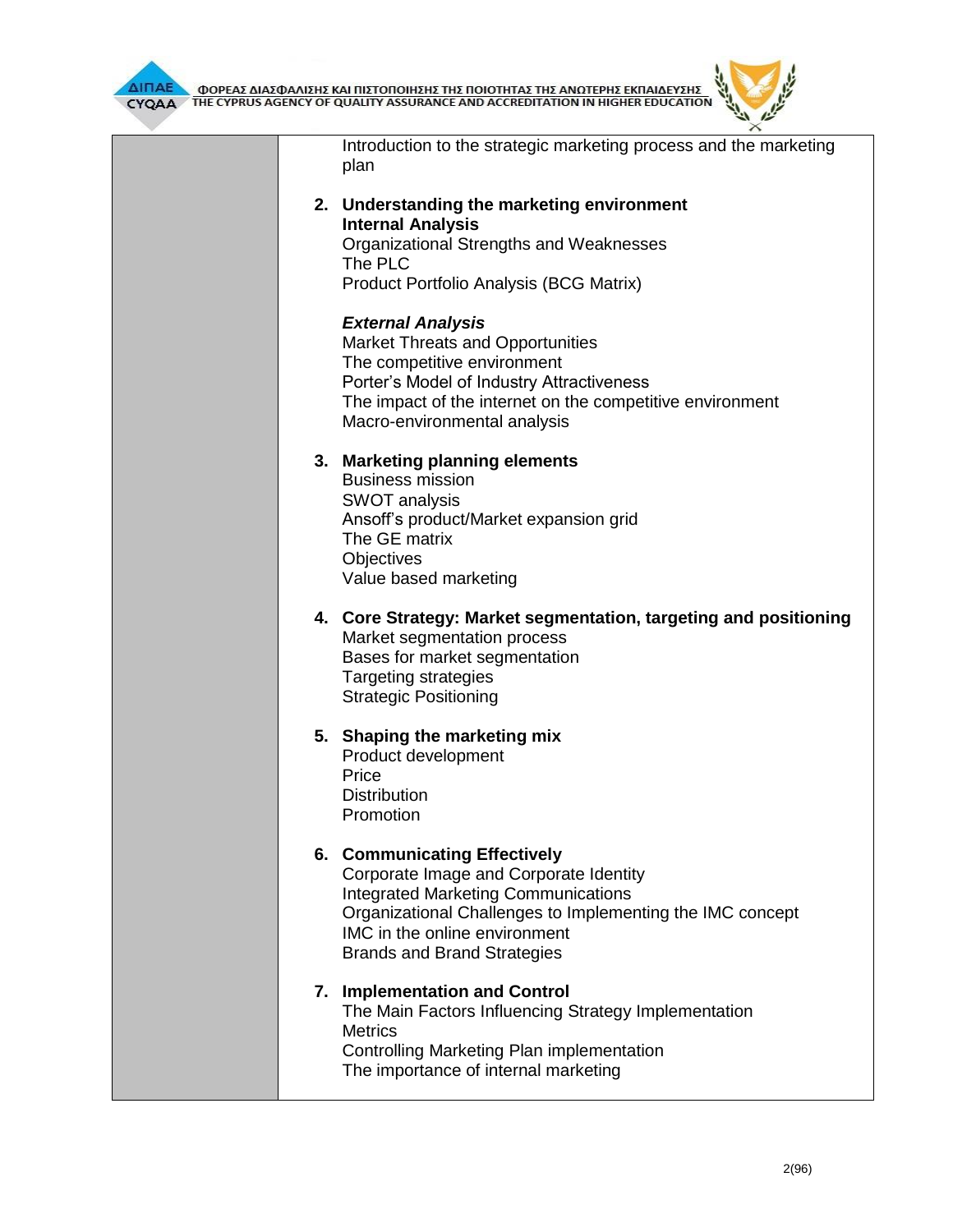



| Introduction to the strategic marketing process and the marketing<br>plan                                                                                                                                                                                |
|----------------------------------------------------------------------------------------------------------------------------------------------------------------------------------------------------------------------------------------------------------|
| 2. Understanding the marketing environment<br><b>Internal Analysis</b><br>Organizational Strengths and Weaknesses<br>The PLC<br>Product Portfolio Analysis (BCG Matrix)                                                                                  |
| <b>External Analysis</b><br><b>Market Threats and Opportunities</b><br>The competitive environment<br>Porter's Model of Industry Attractiveness<br>The impact of the internet on the competitive environment<br>Macro-environmental analysis             |
| 3. Marketing planning elements<br><b>Business mission</b><br><b>SWOT analysis</b><br>Ansoff's product/Market expansion grid<br>The GE matrix<br>Objectives<br>Value based marketing                                                                      |
| 4. Core Strategy: Market segmentation, targeting and positioning<br>Market segmentation process<br>Bases for market segmentation<br><b>Targeting strategies</b><br><b>Strategic Positioning</b>                                                          |
| 5. Shaping the marketing mix<br>Product development<br>Price<br><b>Distribution</b><br>Promotion                                                                                                                                                         |
| 6. Communicating Effectively<br>Corporate Image and Corporate Identity<br><b>Integrated Marketing Communications</b><br>Organizational Challenges to Implementing the IMC concept<br>IMC in the online environment<br><b>Brands and Brand Strategies</b> |
| 7. Implementation and Control<br>The Main Factors Influencing Strategy Implementation<br><b>Metrics</b><br>Controlling Marketing Plan implementation<br>The importance of internal marketing                                                             |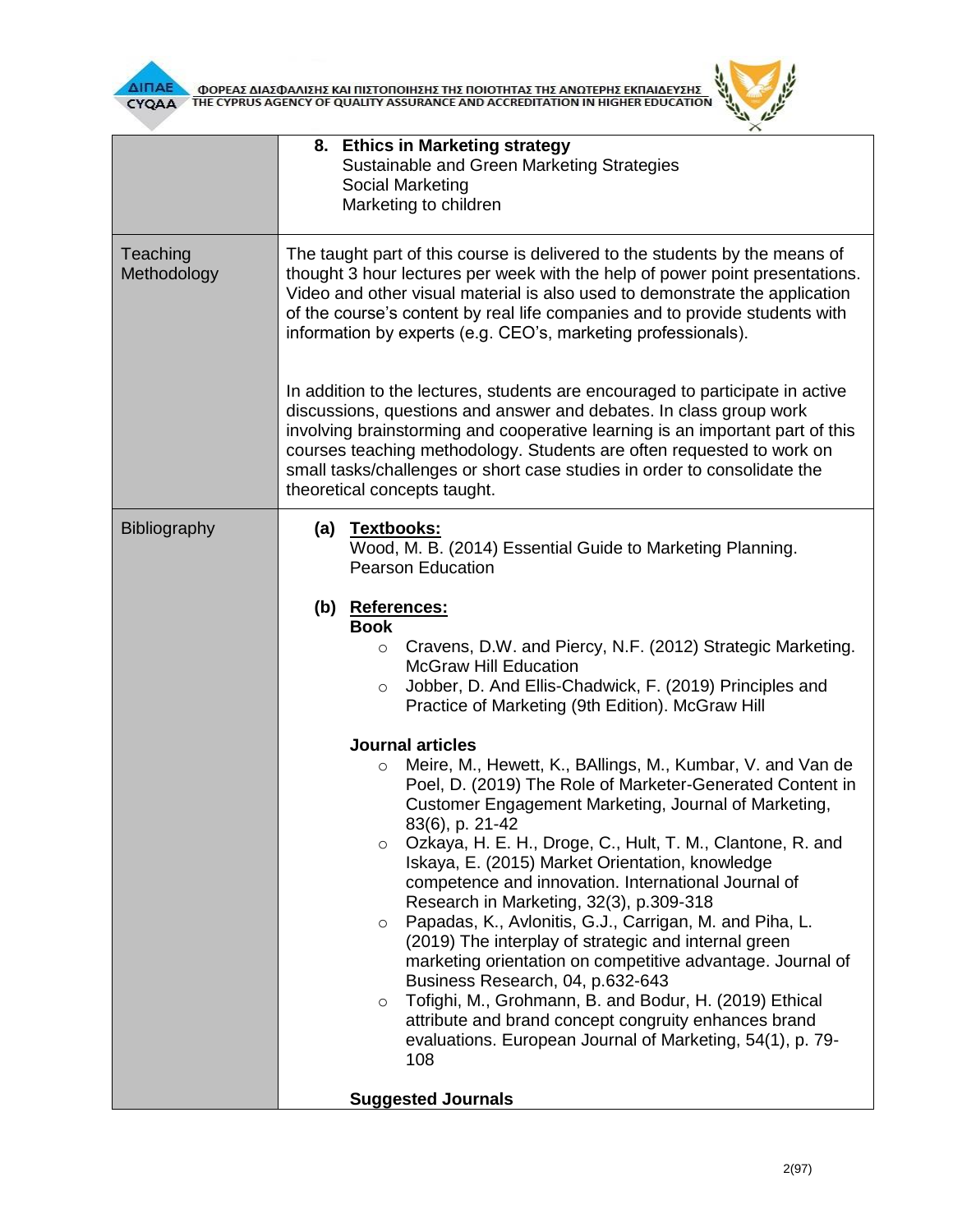

**AITIAE A OOPEAE AIAE DANIERE KAI TIIETOTOIRERE TRE TOIOTRTAE TRE ANOTEPRE EKTIAIAEYERE CYQAA FIRE CYPRUS AGENCY OF QUALITY ASSURANCE AND ACCREDITATION IN HIGHER EDUCATION** 

|                         | 8. Ethics in Marketing strategy<br>Sustainable and Green Marketing Strategies<br>Social Marketing<br>Marketing to children                                                                                                                                                                                                                                                                                                                                                                                                                                                                                                                                                                                                                                                                                                                                                                                                                                                                                                                                                                                                                                                                                                                                                                        |  |  |  |  |
|-------------------------|---------------------------------------------------------------------------------------------------------------------------------------------------------------------------------------------------------------------------------------------------------------------------------------------------------------------------------------------------------------------------------------------------------------------------------------------------------------------------------------------------------------------------------------------------------------------------------------------------------------------------------------------------------------------------------------------------------------------------------------------------------------------------------------------------------------------------------------------------------------------------------------------------------------------------------------------------------------------------------------------------------------------------------------------------------------------------------------------------------------------------------------------------------------------------------------------------------------------------------------------------------------------------------------------------|--|--|--|--|
| Teaching<br>Methodology | The taught part of this course is delivered to the students by the means of<br>thought 3 hour lectures per week with the help of power point presentations.<br>Video and other visual material is also used to demonstrate the application<br>of the course's content by real life companies and to provide students with<br>information by experts (e.g. CEO's, marketing professionals).                                                                                                                                                                                                                                                                                                                                                                                                                                                                                                                                                                                                                                                                                                                                                                                                                                                                                                        |  |  |  |  |
|                         | In addition to the lectures, students are encouraged to participate in active<br>discussions, questions and answer and debates. In class group work<br>involving brainstorming and cooperative learning is an important part of this<br>courses teaching methodology. Students are often requested to work on<br>small tasks/challenges or short case studies in order to consolidate the<br>theoretical concepts taught.                                                                                                                                                                                                                                                                                                                                                                                                                                                                                                                                                                                                                                                                                                                                                                                                                                                                         |  |  |  |  |
| <b>Bibliography</b>     | <u>Textbooks:</u><br>(a)<br>Wood, M. B. (2014) Essential Guide to Marketing Planning.<br><b>Pearson Education</b><br>(b) References:<br><b>Book</b><br>Cravens, D.W. and Piercy, N.F. (2012) Strategic Marketing.<br>$\circ$<br><b>McGraw Hill Education</b><br>Jobber, D. And Ellis-Chadwick, F. (2019) Principles and<br>$\circ$<br>Practice of Marketing (9th Edition). McGraw Hill<br><b>Journal articles</b><br>Meire, M., Hewett, K., BAllings, M., Kumbar, V. and Van de<br>$\circ$<br>Poel, D. (2019) The Role of Marketer-Generated Content in<br>Customer Engagement Marketing, Journal of Marketing,<br>83(6), p. 21-42<br>Ozkaya, H. E. H., Droge, C., Hult, T. M., Clantone, R. and<br>$\circ$<br>Iskaya, E. (2015) Market Orientation, knowledge<br>competence and innovation. International Journal of<br>Research in Marketing, 32(3), p.309-318<br>Papadas, K., Avlonitis, G.J., Carrigan, M. and Piha, L.<br>$\circ$<br>(2019) The interplay of strategic and internal green<br>marketing orientation on competitive advantage. Journal of<br>Business Research, 04, p.632-643<br>Tofighi, M., Grohmann, B. and Bodur, H. (2019) Ethical<br>$\circ$<br>attribute and brand concept congruity enhances brand<br>evaluations. European Journal of Marketing, 54(1), p. 79-<br>108 |  |  |  |  |

**Suggested Journals**

ó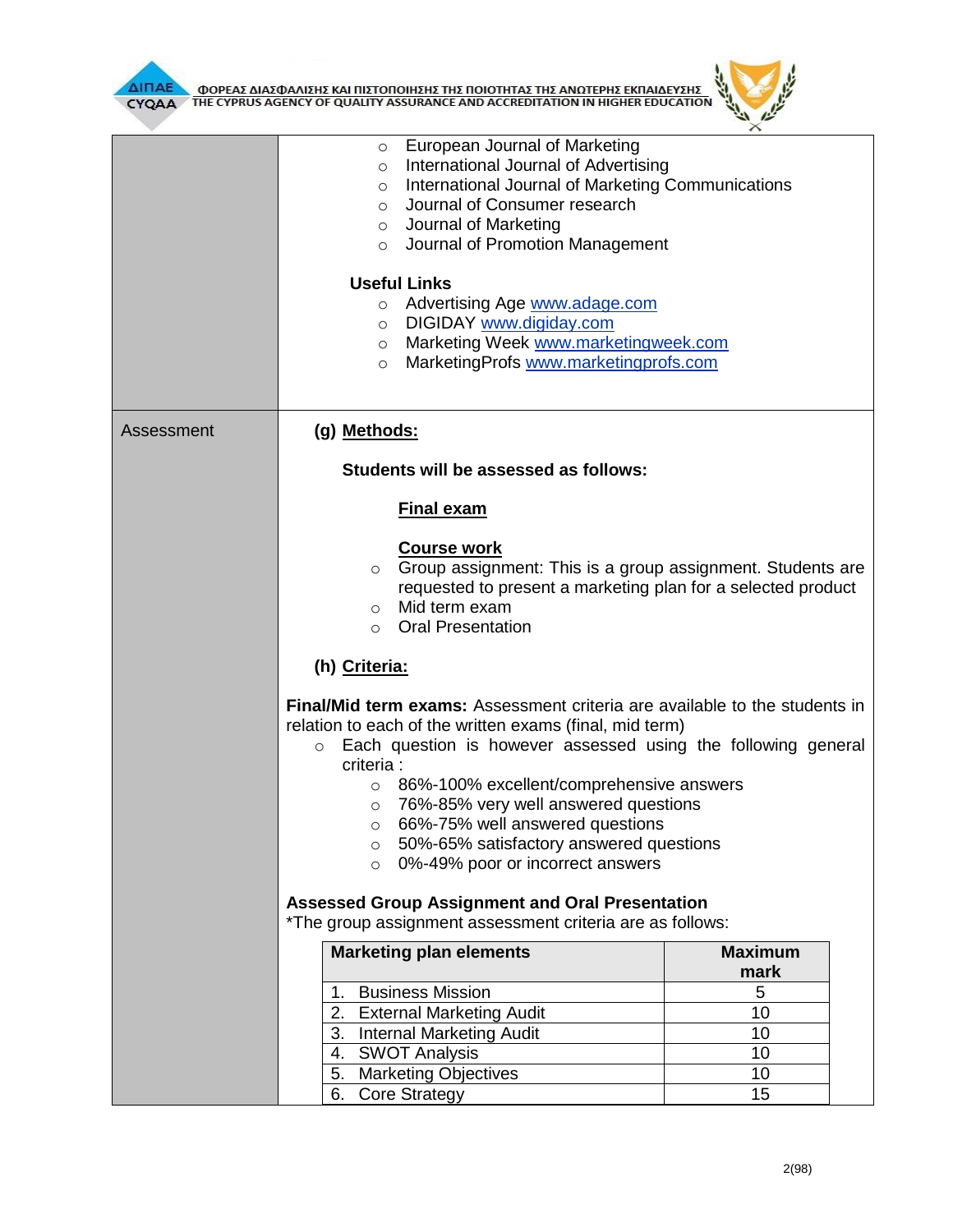



|            | European Journal of Marketing<br>$\circ$<br>International Journal of Advertising<br>$\circ$<br>International Journal of Marketing Communications<br>$\circ$<br>Journal of Consumer research<br>$\circ$<br>$\circ$ Journal of Marketing<br>o Journal of Promotion Management                                                                                                                                                                                                                  |                |  |  |  |
|------------|----------------------------------------------------------------------------------------------------------------------------------------------------------------------------------------------------------------------------------------------------------------------------------------------------------------------------------------------------------------------------------------------------------------------------------------------------------------------------------------------|----------------|--|--|--|
|            | <b>Useful Links</b><br>o Advertising Age www.adage.com<br>DIGIDAY www.digiday.com<br>$\circ$<br>Marketing Week www.marketingweek.com<br>$\circ$<br>MarketingProfs www.marketingprofs.com<br>$\circ$                                                                                                                                                                                                                                                                                          |                |  |  |  |
| Assessment | (g) Methods:                                                                                                                                                                                                                                                                                                                                                                                                                                                                                 |                |  |  |  |
|            | Students will be assessed as follows:                                                                                                                                                                                                                                                                                                                                                                                                                                                        |                |  |  |  |
|            | <b>Final exam</b>                                                                                                                                                                                                                                                                                                                                                                                                                                                                            |                |  |  |  |
|            | <b>Course work</b><br>Group assignment: This is a group assignment. Students are<br>$\circ$<br>requested to present a marketing plan for a selected product<br>Mid term exam<br>$\circ$<br><b>Oral Presentation</b><br>$\circ$                                                                                                                                                                                                                                                               |                |  |  |  |
|            | (h) Criteria:                                                                                                                                                                                                                                                                                                                                                                                                                                                                                |                |  |  |  |
|            | Final/Mid term exams: Assessment criteria are available to the students in<br>relation to each of the written exams (final, mid term)<br>Each question is however assessed using the following general<br>$\circ$<br>criteria :<br>86%-100% excellent/comprehensive answers<br>$\circ$<br>76%-85% very well answered questions<br>$\circ$<br>66%-75% well answered questions<br>$\circ$<br>50%-65% satisfactory answered questions<br>$\circ$<br>0%-49% poor or incorrect answers<br>$\circ$ |                |  |  |  |
|            | <b>Assessed Group Assignment and Oral Presentation</b><br>*The group assignment assessment criteria are as follows:                                                                                                                                                                                                                                                                                                                                                                          |                |  |  |  |
|            | <b>Marketing plan elements</b>                                                                                                                                                                                                                                                                                                                                                                                                                                                               | <b>Maximum</b> |  |  |  |
|            | <b>Business Mission</b><br>1.                                                                                                                                                                                                                                                                                                                                                                                                                                                                | mark<br>5      |  |  |  |
|            | <b>External Marketing Audit</b><br>2.                                                                                                                                                                                                                                                                                                                                                                                                                                                        | 10             |  |  |  |
|            | 3.<br><b>Internal Marketing Audit</b>                                                                                                                                                                                                                                                                                                                                                                                                                                                        | 10             |  |  |  |
|            | <b>SWOT Analysis</b><br>4.                                                                                                                                                                                                                                                                                                                                                                                                                                                                   | 10             |  |  |  |
|            | <b>Marketing Objectives</b><br>5.                                                                                                                                                                                                                                                                                                                                                                                                                                                            | 10             |  |  |  |
|            | 6.<br><b>Core Strategy</b>                                                                                                                                                                                                                                                                                                                                                                                                                                                                   | 15             |  |  |  |